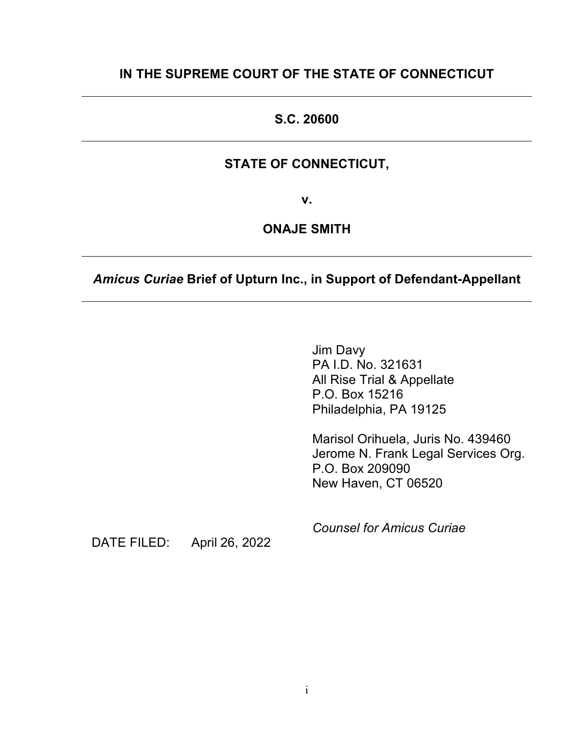## **IN THE SUPREME COURT OF THE STATE OF CONNECTICUT**

## **S.C. 20600**

## **STATE OF CONNECTICUT,**

**v.**

## **ONAJE SMITH**

## *Amicus Curiae* **Brief of Upturn Inc., in Support of Defendant-Appellant**

Jim Davy PA I.D. No. 321631 All Rise Trial & Appellate P.O. Box 15216 Philadelphia, PA 19125

Marisol Orihuela, Juris No. 439460 Jerome N. Frank Legal Services Org. P.O. Box 209090 New Haven, CT 06520

DATE FILED: April 26, 2022

*Counsel for Amicus Curiae*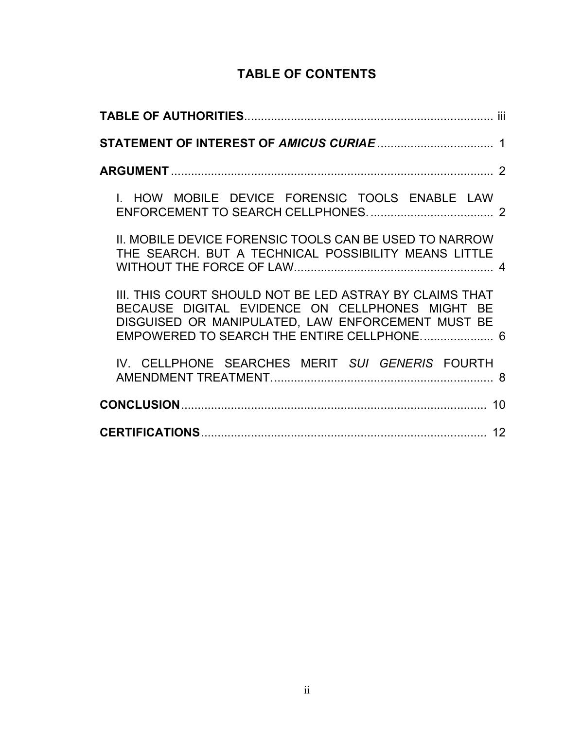# **TABLE OF CONTENTS**

| I. HOW MOBILE DEVICE FORENSIC TOOLS ENABLE LAW                                                                                                                                                                |
|---------------------------------------------------------------------------------------------------------------------------------------------------------------------------------------------------------------|
| II. MOBILE DEVICE FORENSIC TOOLS CAN BE USED TO NARROW<br>THE SEARCH. BUT A TECHNICAL POSSIBILITY MEANS LITTLE                                                                                                |
| III. THIS COURT SHOULD NOT BE LED ASTRAY BY CLAIMS THAT<br>BECAUSE DIGITAL EVIDENCE ON CELLPHONES MIGHT BE<br>DISGUISED OR MANIPULATED, LAW ENFORCEMENT MUST BE<br>EMPOWERED TO SEARCH THE ENTIRE CELLPHONE 6 |
| IV. CELLPHONE SEARCHES MERIT SUI GENERIS FOURTH                                                                                                                                                               |
| 10                                                                                                                                                                                                            |
|                                                                                                                                                                                                               |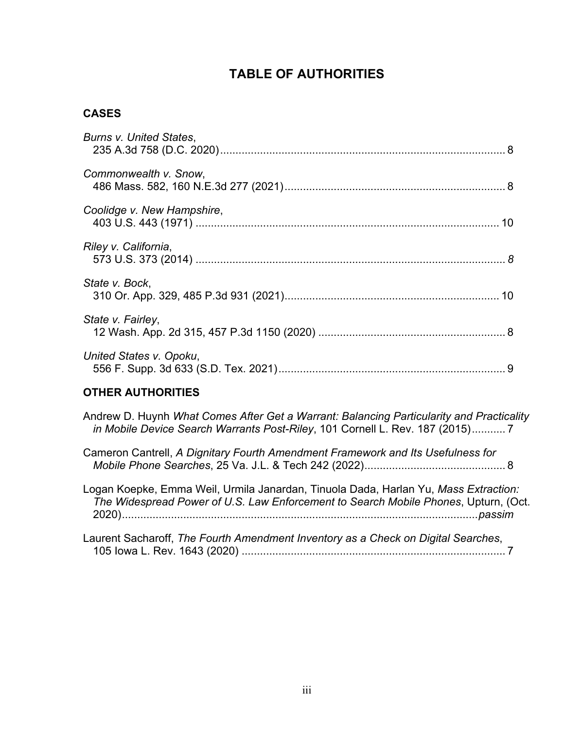## **TABLE OF AUTHORITIES**

#### **CASES**

| <b>Burns v. United States,</b> |  |
|--------------------------------|--|
| Commonwealth v. Snow,          |  |
| Coolidge v. New Hampshire,     |  |
| Riley v. California,           |  |
| State v. Bock,                 |  |
| State v. Fairley,              |  |
| United States v. Opoku,        |  |
| OTHER ALITHORITIES             |  |

#### **OTHER AUTHORITIES**

Andrew D. Huynh *What Comes After Get a Warrant: Balancing Particularity and Practicality in Mobile Device Search Warrants Post-Riley*, 101 Cornell L. Rev. 187 (2015)........... 7

Cameron Cantrell, *A Dignitary Fourth Amendment Framework and Its Usefulness for Mobile Phone Searches*, 25 Va. J.L. & Tech 242 (2022).............................................. 8

Logan Koepke, Emma Weil, Urmila Janardan, Tinuola Dada, Harlan Yu, *Mass Extraction: The Widespread Power of U.S. Law Enforcement to Search Mobile Phones*, Upturn, (Oct. 2020)....................................................................................................................*passim*

Laurent Sacharoff, *The Fourth Amendment Inventory as a Check on Digital Searches*, 105 Iowa L. Rev. 1643 (2020) ...................................................................................... 7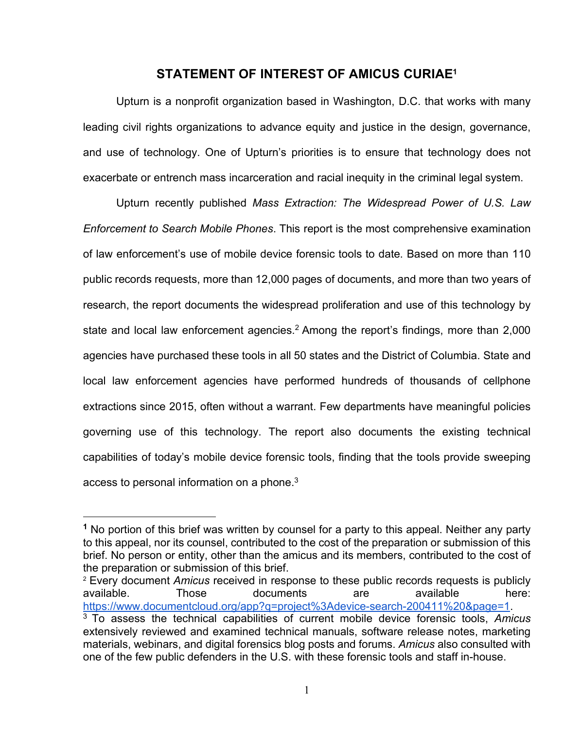#### **STATEMENT OF INTEREST OF AMICUS CURIAE1**

Upturn is a nonprofit organization based in Washington, D.C. that works with many leading civil rights organizations to advance equity and justice in the design, governance, and use of technology. One of Upturn's priorities is to ensure that technology does not exacerbate or entrench mass incarceration and racial inequity in the criminal legal system.

Upturn recently published *Mass Extraction: The Widespread Power of U.S. Law Enforcement to Search Mobile Phones*. This report is the most comprehensive examination of law enforcement's use of mobile device forensic tools to date. Based on more than 110 public records requests, more than 12,000 pages of documents, and more than two years of research, the report documents the widespread proliferation and use of this technology by state and local law enforcement agencies.<sup>2</sup> Among the report's findings, more than  $2,000$ agencies have purchased these tools in all 50 states and the District of Columbia. State and local law enforcement agencies have performed hundreds of thousands of cellphone extractions since 2015, often without a warrant. Few departments have meaningful policies governing use of this technology. The report also documents the existing technical capabilities of today's mobile device forensic tools, finding that the tools provide sweeping access to personal information on a phone. $3$ 

**<sup>1</sup>** No portion of this brief was written by counsel for a party to this appeal. Neither any party to this appeal, nor its counsel, contributed to the cost of the preparation or submission of this brief. No person or entity, other than the amicus and its members, contributed to the cost of the preparation or submission of this brief.

<sup>2</sup> Every document *Amicus* received in response to these public records requests is publicly available. Those documents are available here: https://www.documentcloud.org/app?q=project%3Adevice-search-200411%20&page=1.

<sup>3</sup> To assess the technical capabilities of current mobile device forensic tools, *Amicus* extensively reviewed and examined technical manuals, software release notes, marketing materials, webinars, and digital forensics blog posts and forums. *Amicus* also consulted with one of the few public defenders in the U.S. with these forensic tools and staff in-house.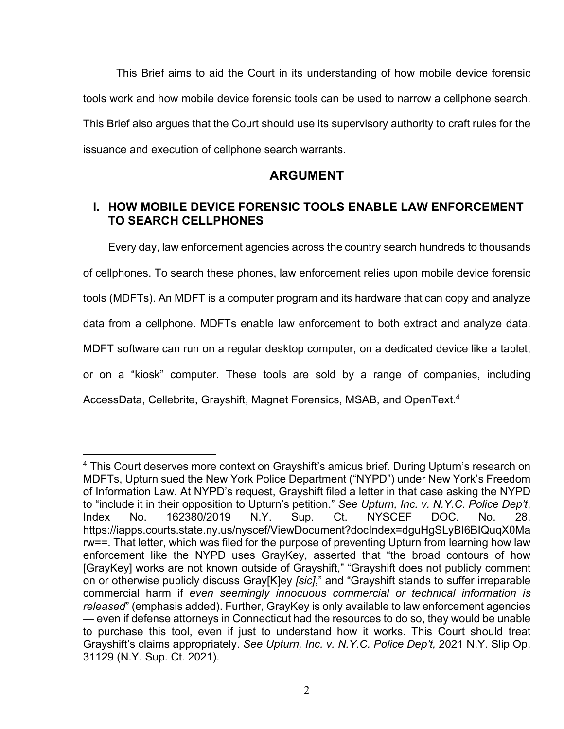This Brief aims to aid the Court in its understanding of how mobile device forensic tools work and how mobile device forensic tools can be used to narrow a cellphone search. This Brief also argues that the Court should use its supervisory authority to craft rules for the issuance and execution of cellphone search warrants.

## **ARGUMENT**

## **I. HOW MOBILE DEVICE FORENSIC TOOLS ENABLE LAW ENFORCEMENT TO SEARCH CELLPHONES**

Every day, law enforcement agencies across the country search hundreds to thousands of cellphones. To search these phones, law enforcement relies upon mobile device forensic tools (MDFTs). An MDFT is a computer program and its hardware that can copy and analyze data from a cellphone. MDFTs enable law enforcement to both extract and analyze data. MDFT software can run on a regular desktop computer, on a dedicated device like a tablet, or on a "kiosk" computer. These tools are sold by a range of companies, including AccessData, Cellebrite, Grayshift, Magnet Forensics, MSAB, and OpenText. 4

<sup>&</sup>lt;sup>4</sup> This Court deserves more context on Grayshift's amicus brief. During Upturn's research on MDFTs, Upturn sued the New York Police Department ("NYPD") under New York's Freedom of Information Law. At NYPD's request, Grayshift filed a letter in that case asking the NYPD to "include it in their opposition to Upturn's petition." *See Upturn, Inc. v. N.Y.C. Police Dep't*, Index No. 162380/2019 N.Y. Sup. Ct. NYSCEF DOC. No. 28. https://iapps.courts.state.ny.us/nyscef/ViewDocument?docIndex=dguHgSLyBI6BIQuqX0Ma rw==. That letter, which was filed for the purpose of preventing Upturn from learning how law enforcement like the NYPD uses GrayKey, asserted that "the broad contours of how [GrayKey] works are not known outside of Grayshift," "Grayshift does not publicly comment on or otherwise publicly discuss Gray[K]ey *[sic]*," and "Grayshift stands to suffer irreparable commercial harm if *even seemingly innocuous commercial or technical information is released*" (emphasis added). Further, GrayKey is only available to law enforcement agencies — even if defense attorneys in Connecticut had the resources to do so, they would be unable to purchase this tool, even if just to understand how it works. This Court should treat Grayshift's claims appropriately. *See Upturn, Inc. v. N.Y.C. Police Dep't,* 2021 N.Y. Slip Op. 31129 (N.Y. Sup. Ct. 2021).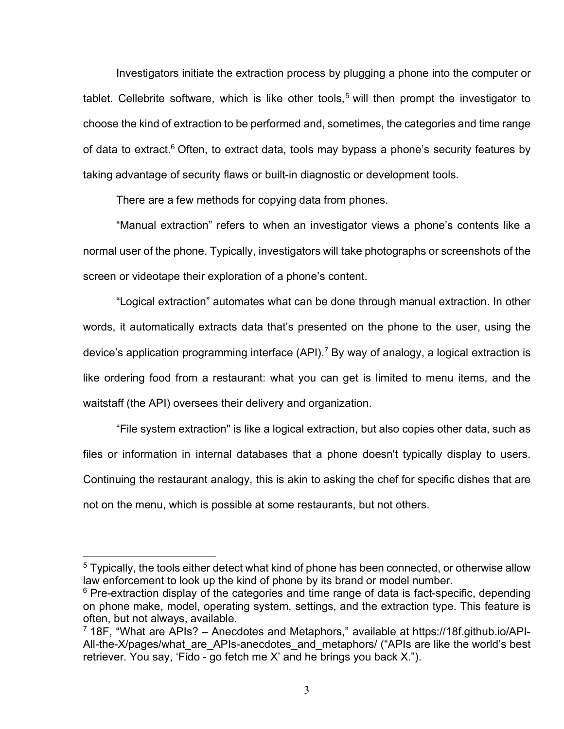Investigators initiate the extraction process by plugging a phone into the computer or tablet. Cellebrite software, which is like other tools,<sup>5</sup> will then prompt the investigator to choose the kind of extraction to be performed and, sometimes, the categories and time range of data to extract.<sup>6</sup> Often, to extract data, tools may bypass a phone's security features by taking advantage of security flaws or built-in diagnostic or development tools.

There are a few methods for copying data from phones.

"Manual extraction" refers to when an investigator views a phone's contents like a normal user of the phone. Typically, investigators will take photographs or screenshots of the screen or videotape their exploration of a phone's content.

"Logical extraction" automates what can be done through manual extraction. In other words, it automatically extracts data that's presented on the phone to the user, using the device's application programming interface  $(API)$ .<sup>7</sup> By way of analogy, a logical extraction is like ordering food from a restaurant: what you can get is limited to menu items, and the waitstaff (the API) oversees their delivery and organization.

"File system extraction" is like a logical extraction, but also copies other data, such as files or information in internal databases that a phone doesn't typically display to users. Continuing the restaurant analogy, this is akin to asking the chef for specific dishes that are not on the menu, which is possible at some restaurants, but not others.

<sup>&</sup>lt;sup>5</sup> Typically, the tools either detect what kind of phone has been connected, or otherwise allow law enforcement to look up the kind of phone by its brand or model number.

 $6$  Pre-extraction display of the categories and time range of data is fact-specific, depending on phone make, model, operating system, settings, and the extraction type. This feature is often, but not always, available.

<sup>7</sup> 18F, "What are APIs? – Anecdotes and Metaphors," available at https://18f.github.io/API-All-the-X/pages/what are APIs-anecdotes and metaphors/ ("APIs are like the world's best retriever. You say, 'Fido - go fetch me X' and he brings you back X.").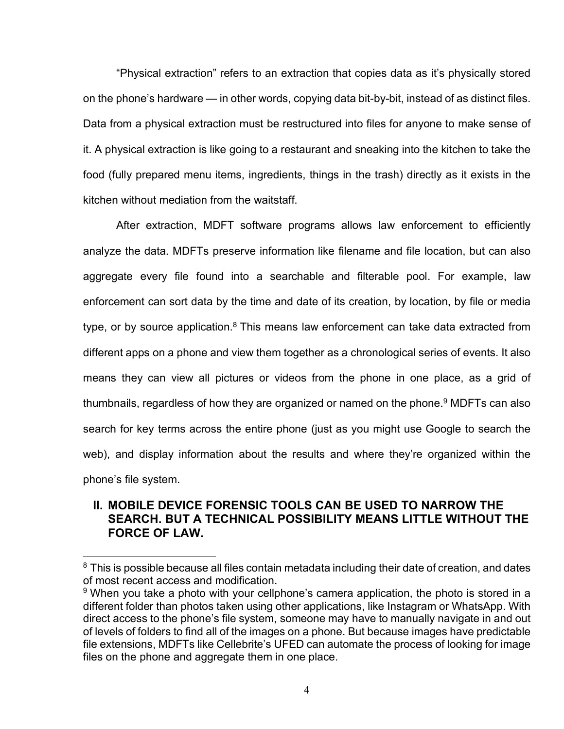"Physical extraction" refers to an extraction that copies data as it's physically stored on the phone's hardware — in other words, copying data bit-by-bit, instead of as distinct files. Data from a physical extraction must be restructured into files for anyone to make sense of it. A physical extraction is like going to a restaurant and sneaking into the kitchen to take the food (fully prepared menu items, ingredients, things in the trash) directly as it exists in the kitchen without mediation from the waitstaff.

After extraction, MDFT software programs allows law enforcement to efficiently analyze the data. MDFTs preserve information like filename and file location, but can also aggregate every file found into a searchable and filterable pool. For example, law enforcement can sort data by the time and date of its creation, by location, by file or media type, or by source application. $8$  This means law enforcement can take data extracted from different apps on a phone and view them together as a chronological series of events. It also means they can view all pictures or videos from the phone in one place, as a grid of thumbnails, regardless of how they are organized or named on the phone.<sup>9</sup> MDFTs can also search for key terms across the entire phone (just as you might use Google to search the web), and display information about the results and where they're organized within the phone's file system.

## **II. MOBILE DEVICE FORENSIC TOOLS CAN BE USED TO NARROW THE SEARCH. BUT A TECHNICAL POSSIBILITY MEANS LITTLE WITHOUT THE FORCE OF LAW.**

 $8$  This is possible because all files contain metadata including their date of creation, and dates of most recent access and modification.

<sup>&</sup>lt;sup>9</sup> When you take a photo with your cellphone's camera application, the photo is stored in a different folder than photos taken using other applications, like Instagram or WhatsApp. With direct access to the phone's file system, someone may have to manually navigate in and out of levels of folders to find all of the images on a phone. But because images have predictable file extensions, MDFTs like Cellebrite's UFED can automate the process of looking for image files on the phone and aggregate them in one place.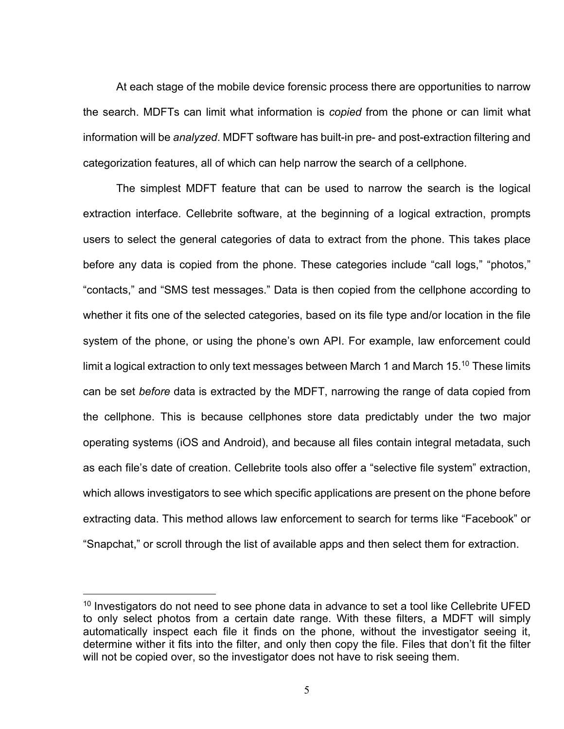At each stage of the mobile device forensic process there are opportunities to narrow the search. MDFTs can limit what information is *copied* from the phone or can limit what information will be *analyzed*. MDFT software has built-in pre- and post-extraction filtering and categorization features, all of which can help narrow the search of a cellphone.

The simplest MDFT feature that can be used to narrow the search is the logical extraction interface. Cellebrite software, at the beginning of a logical extraction, prompts users to select the general categories of data to extract from the phone. This takes place before any data is copied from the phone. These categories include "call logs," "photos," "contacts," and "SMS test messages." Data is then copied from the cellphone according to whether it fits one of the selected categories, based on its file type and/or location in the file system of the phone, or using the phone's own API. For example, law enforcement could limit a logical extraction to only text messages between March 1 and March 15.<sup>10</sup> These limits can be set *before* data is extracted by the MDFT, narrowing the range of data copied from the cellphone. This is because cellphones store data predictably under the two major operating systems (iOS and Android), and because all files contain integral metadata, such as each file's date of creation. Cellebrite tools also offer a "selective file system" extraction, which allows investigators to see which specific applications are present on the phone before extracting data. This method allows law enforcement to search for terms like "Facebook" or "Snapchat," or scroll through the list of available apps and then select them for extraction.

 $10$  Investigators do not need to see phone data in advance to set a tool like Cellebrite UFED to only select photos from a certain date range. With these filters, a MDFT will simply automatically inspect each file it finds on the phone, without the investigator seeing it, determine wither it fits into the filter, and only then copy the file. Files that don't fit the filter will not be copied over, so the investigator does not have to risk seeing them.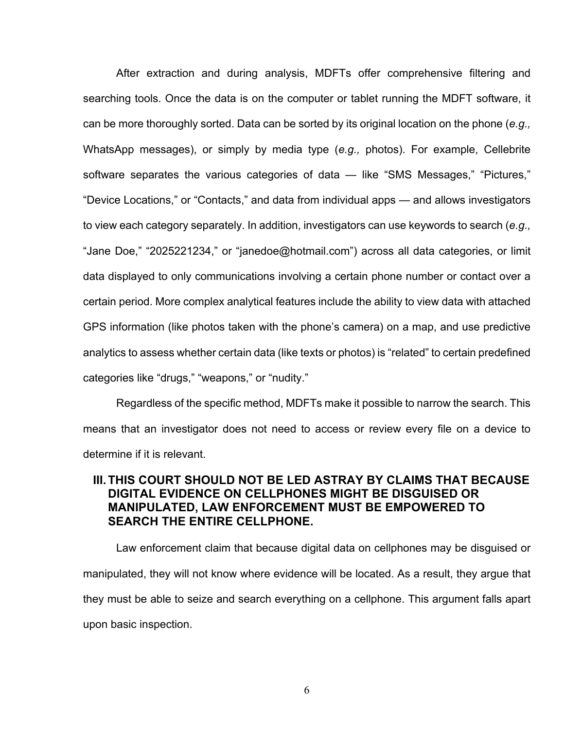After extraction and during analysis, MDFTs offer comprehensive filtering and searching tools. Once the data is on the computer or tablet running the MDFT software, it can be more thoroughly sorted. Data can be sorted by its original location on the phone (*e.g.,* WhatsApp messages), or simply by media type (*e.g.,* photos). For example, Cellebrite software separates the various categories of data — like "SMS Messages," "Pictures," "Device Locations," or "Contacts," and data from individual apps — and allows investigators to view each category separately. In addition, investigators can use keywords to search (*e.g.,* "Jane Doe," "2025221234," or "janedoe@hotmail.com") across all data categories, or limit data displayed to only communications involving a certain phone number or contact over a certain period. More complex analytical features include the ability to view data with attached GPS information (like photos taken with the phone's camera) on a map, and use predictive analytics to assess whether certain data (like texts or photos) is "related" to certain predefined categories like "drugs," "weapons," or "nudity."

Regardless of the specific method, MDFTs make it possible to narrow the search. This means that an investigator does not need to access or review every file on a device to determine if it is relevant.

#### **III.THIS COURT SHOULD NOT BE LED ASTRAY BY CLAIMS THAT BECAUSE DIGITAL EVIDENCE ON CELLPHONES MIGHT BE DISGUISED OR MANIPULATED, LAW ENFORCEMENT MUST BE EMPOWERED TO SEARCH THE ENTIRE CELLPHONE.**

Law enforcement claim that because digital data on cellphones may be disguised or manipulated, they will not know where evidence will be located. As a result, they argue that they must be able to seize and search everything on a cellphone. This argument falls apart upon basic inspection.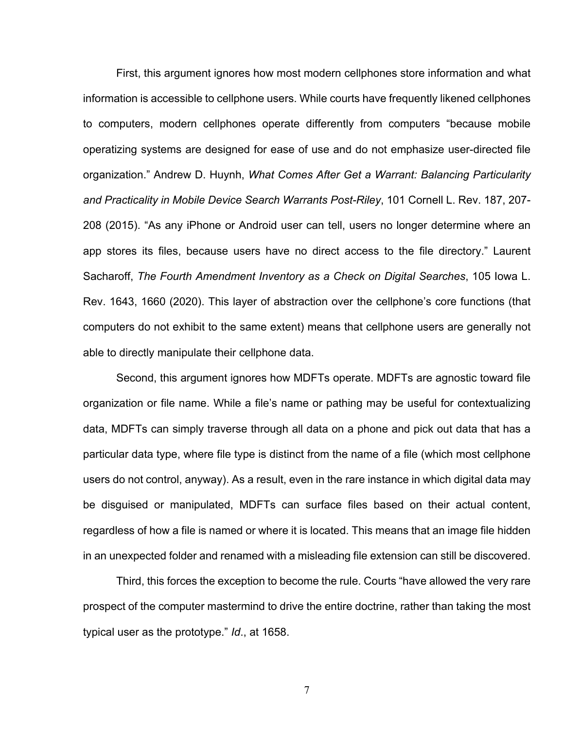First, this argument ignores how most modern cellphones store information and what information is accessible to cellphone users. While courts have frequently likened cellphones to computers, modern cellphones operate differently from computers "because mobile operatizing systems are designed for ease of use and do not emphasize user-directed file organization." Andrew D. Huynh, *What Comes After Get a Warrant: Balancing Particularity and Practicality in Mobile Device Search Warrants Post-Riley*, 101 Cornell L. Rev. 187, 207- 208 (2015). "As any iPhone or Android user can tell, users no longer determine where an app stores its files, because users have no direct access to the file directory." Laurent Sacharoff, *The Fourth Amendment Inventory as a Check on Digital Searches*, 105 Iowa L. Rev. 1643, 1660 (2020). This layer of abstraction over the cellphone's core functions (that computers do not exhibit to the same extent) means that cellphone users are generally not able to directly manipulate their cellphone data.

Second, this argument ignores how MDFTs operate. MDFTs are agnostic toward file organization or file name. While a file's name or pathing may be useful for contextualizing data, MDFTs can simply traverse through all data on a phone and pick out data that has a particular data type, where file type is distinct from the name of a file (which most cellphone users do not control, anyway). As a result, even in the rare instance in which digital data may be disguised or manipulated, MDFTs can surface files based on their actual content, regardless of how a file is named or where it is located. This means that an image file hidden in an unexpected folder and renamed with a misleading file extension can still be discovered.

Third, this forces the exception to become the rule. Courts "have allowed the very rare prospect of the computer mastermind to drive the entire doctrine, rather than taking the most typical user as the prototype." *Id*., at 1658.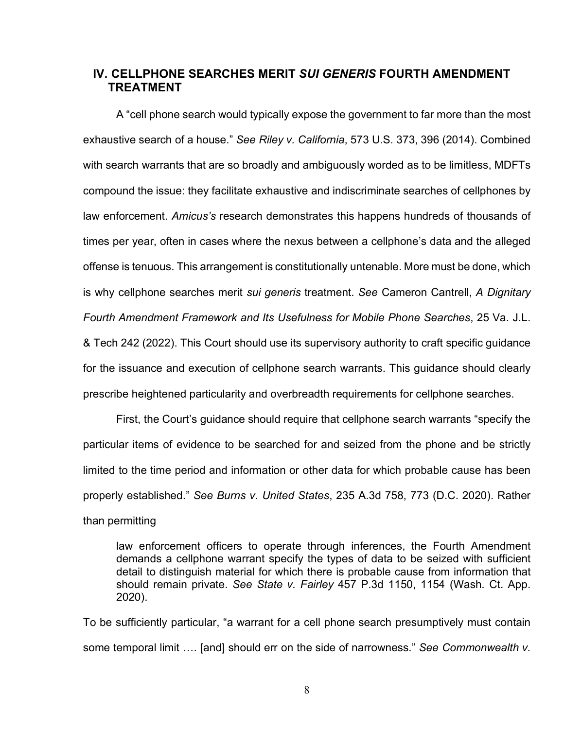#### **IV. CELLPHONE SEARCHES MERIT** *SUI GENERIS* **FOURTH AMENDMENT TREATMENT**

A "cell phone search would typically expose the government to far more than the most exhaustive search of a house." *See Riley v. California*, 573 U.S. 373, 396 (2014). Combined with search warrants that are so broadly and ambiguously worded as to be limitless, MDFTs compound the issue: they facilitate exhaustive and indiscriminate searches of cellphones by law enforcement. *Amicus's* research demonstrates this happens hundreds of thousands of times per year, often in cases where the nexus between a cellphone's data and the alleged offense is tenuous. This arrangement is constitutionally untenable. More must be done, which is why cellphone searches merit *sui generis* treatment. *See* Cameron Cantrell, *A Dignitary Fourth Amendment Framework and Its Usefulness for Mobile Phone Searches*, 25 Va. J.L. & Tech 242 (2022). This Court should use its supervisory authority to craft specific guidance for the issuance and execution of cellphone search warrants. This guidance should clearly prescribe heightened particularity and overbreadth requirements for cellphone searches.

First, the Court's guidance should require that cellphone search warrants "specify the particular items of evidence to be searched for and seized from the phone and be strictly limited to the time period and information or other data for which probable cause has been properly established." *See Burns v. United States*, 235 A.3d 758, 773 (D.C. 2020). Rather than permitting

law enforcement officers to operate through inferences, the Fourth Amendment demands a cellphone warrant specify the types of data to be seized with sufficient detail to distinguish material for which there is probable cause from information that should remain private. *See State v. Fairley* 457 P.3d 1150, 1154 (Wash. Ct. App. 2020).

To be sufficiently particular, "a warrant for a cell phone search presumptively must contain some temporal limit …. [and] should err on the side of narrowness." *See Commonwealth v.*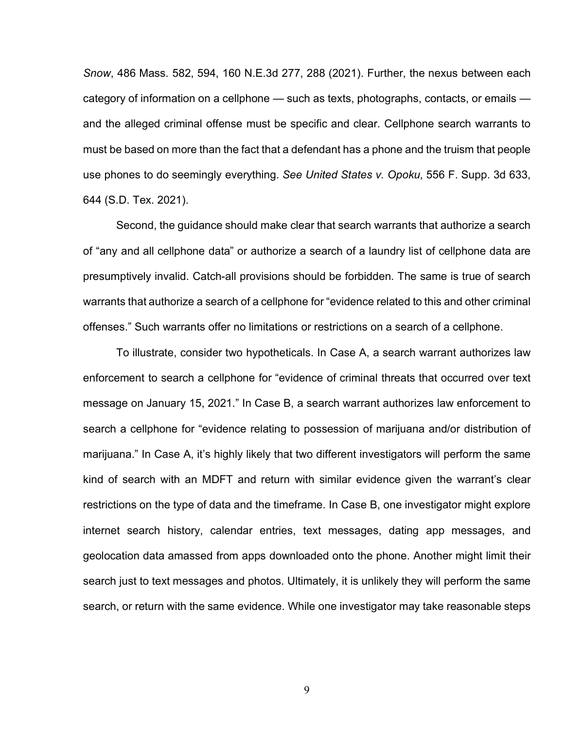*Snow*, 486 Mass. 582, 594, 160 N.E.3d 277, 288 (2021). Further, the nexus between each category of information on a cellphone — such as texts, photographs, contacts, or emails and the alleged criminal offense must be specific and clear. Cellphone search warrants to must be based on more than the fact that a defendant has a phone and the truism that people use phones to do seemingly everything. *See United States v. Opoku*, 556 F. Supp. 3d 633, 644 (S.D. Tex. 2021).

Second, the guidance should make clear that search warrants that authorize a search of "any and all cellphone data" or authorize a search of a laundry list of cellphone data are presumptively invalid. Catch-all provisions should be forbidden. The same is true of search warrants that authorize a search of a cellphone for "evidence related to this and other criminal offenses." Such warrants offer no limitations or restrictions on a search of a cellphone.

To illustrate, consider two hypotheticals. In Case A, a search warrant authorizes law enforcement to search a cellphone for "evidence of criminal threats that occurred over text message on January 15, 2021." In Case B, a search warrant authorizes law enforcement to search a cellphone for "evidence relating to possession of marijuana and/or distribution of marijuana." In Case A, it's highly likely that two different investigators will perform the same kind of search with an MDFT and return with similar evidence given the warrant's clear restrictions on the type of data and the timeframe. In Case B, one investigator might explore internet search history, calendar entries, text messages, dating app messages, and geolocation data amassed from apps downloaded onto the phone. Another might limit their search just to text messages and photos. Ultimately, it is unlikely they will perform the same search, or return with the same evidence. While one investigator may take reasonable steps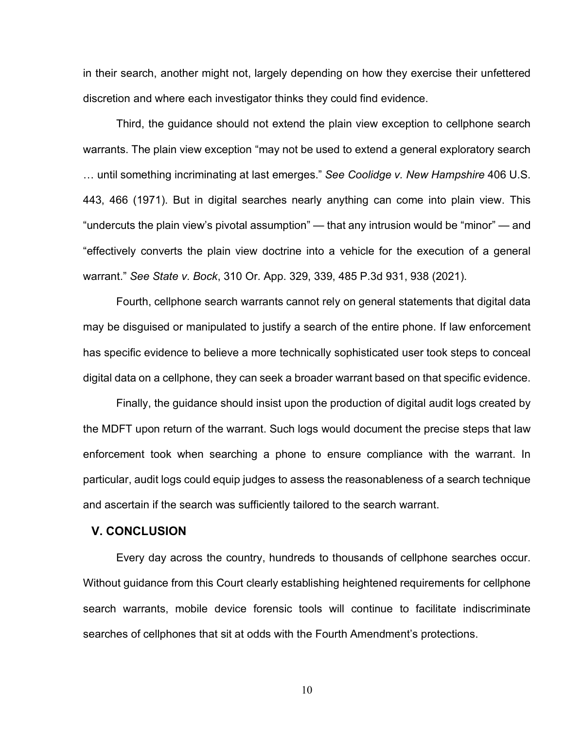in their search, another might not, largely depending on how they exercise their unfettered discretion and where each investigator thinks they could find evidence.

Third, the guidance should not extend the plain view exception to cellphone search warrants. The plain view exception "may not be used to extend a general exploratory search … until something incriminating at last emerges." *See Coolidge v. New Hampshire* 406 U.S. 443, 466 (1971). But in digital searches nearly anything can come into plain view. This "undercuts the plain view's pivotal assumption" — that any intrusion would be "minor" — and "effectively converts the plain view doctrine into a vehicle for the execution of a general warrant." *See State v. Bock*, 310 Or. App. 329, 339, 485 P.3d 931, 938 (2021).

Fourth, cellphone search warrants cannot rely on general statements that digital data may be disguised or manipulated to justify a search of the entire phone. If law enforcement has specific evidence to believe a more technically sophisticated user took steps to conceal digital data on a cellphone, they can seek a broader warrant based on that specific evidence.

Finally, the guidance should insist upon the production of digital audit logs created by the MDFT upon return of the warrant. Such logs would document the precise steps that law enforcement took when searching a phone to ensure compliance with the warrant. In particular, audit logs could equip judges to assess the reasonableness of a search technique and ascertain if the search was sufficiently tailored to the search warrant.

#### **V. CONCLUSION**

Every day across the country, hundreds to thousands of cellphone searches occur. Without guidance from this Court clearly establishing heightened requirements for cellphone search warrants, mobile device forensic tools will continue to facilitate indiscriminate searches of cellphones that sit at odds with the Fourth Amendment's protections.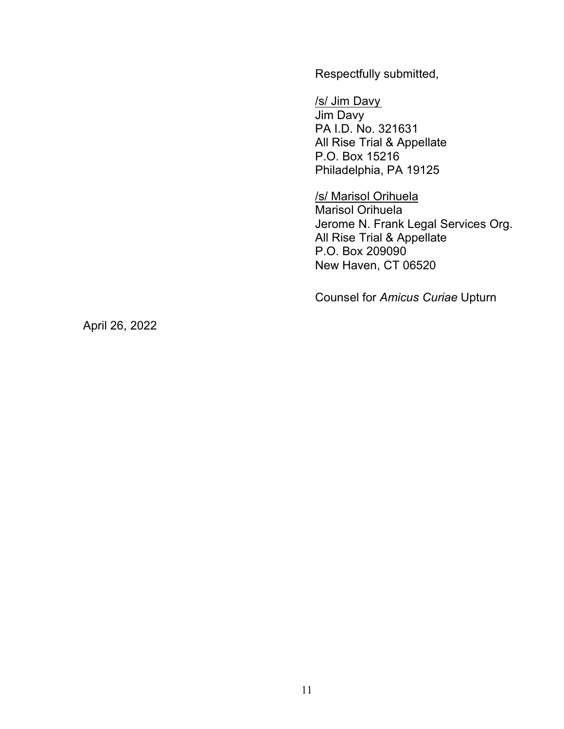Respectfully submitted,

/s/ Jim Davy Jim Davy PA I.D. No. 321631 All Rise Trial & Appellate P.O. Box 15216 Philadelphia, PA 19125

/s/ Marisol Orihuela Marisol Orihuela Jerome N. Frank Legal Services Org. All Rise Trial & Appellate P.O. Box 209090 New Haven, CT 06520

Counsel for *Amicus Curiae* Upturn

April 26, 2022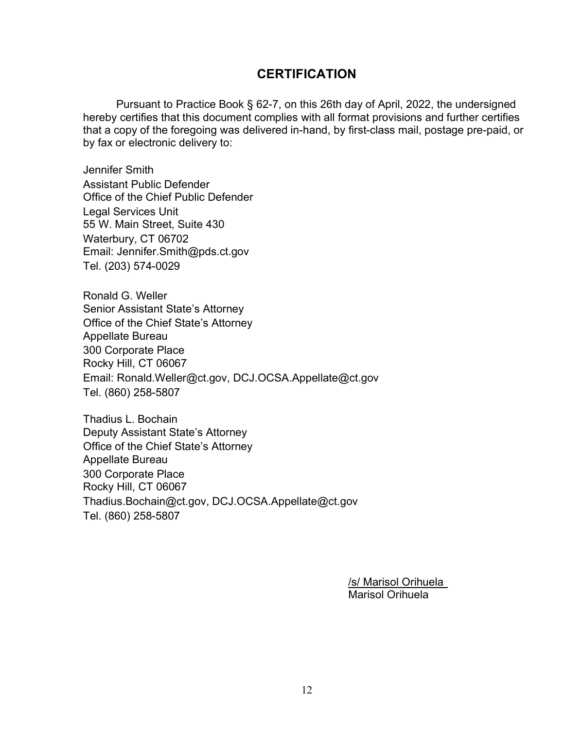## **CERTIFICATION**

Pursuant to Practice Book § 62-7, on this 26th day of April, 2022, the undersigned hereby certifies that this document complies with all format provisions and further certifies that a copy of the foregoing was delivered in-hand, by first-class mail, postage pre-paid, or by fax or electronic delivery to:

Jennifer Smith Assistant Public Defender Office of the Chief Public Defender Legal Services Unit 55 W. Main Street, Suite 430 Waterbury, CT 06702 Email: Jennifer.Smith@pds.ct.gov Tel. (203) 574-0029

Ronald G. Weller Senior Assistant State's Attorney Office of the Chief State's Attorney Appellate Bureau 300 Corporate Place Rocky Hill, CT 06067 Email: Ronald.Weller@ct.gov, DCJ.OCSA.Appellate@ct.gov Tel. (860) 258-5807

Thadius L. Bochain Deputy Assistant State's Attorney Office of the Chief State's Attorney Appellate Bureau 300 Corporate Place Rocky Hill, CT 06067 Thadius.Bochain@ct.gov, DCJ.OCSA.Appellate@ct.gov Tel. (860) 258-5807

> /s/ Marisol Orihuela Marisol Orihuela